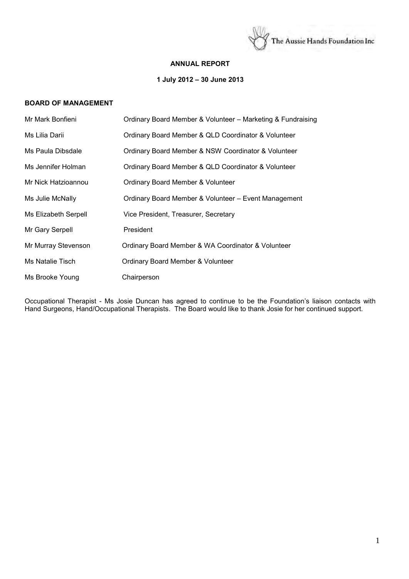

## **ANNUAL REPORT**

# **1 July 2012 – 30 June 2013**

# **BOARD OF MANAGEMENT**

| Mr Mark Bonfieni     | Ordinary Board Member & Volunteer - Marketing & Fundraising |
|----------------------|-------------------------------------------------------------|
| Ms Lilia Darii       | Ordinary Board Member & QLD Coordinator & Volunteer         |
| Ms Paula Dibsdale    | Ordinary Board Member & NSW Coordinator & Volunteer         |
| Ms Jennifer Holman   | Ordinary Board Member & QLD Coordinator & Volunteer         |
| Mr Nick Hatzioannou  | Ordinary Board Member & Volunteer                           |
| Ms Julie McNally     | Ordinary Board Member & Volunteer - Event Management        |
| Ms Elizabeth Serpell | Vice President, Treasurer, Secretary                        |
| Mr Gary Serpell      | President                                                   |
| Mr Murray Stevenson  | Ordinary Board Member & WA Coordinator & Volunteer          |
| Ms Natalie Tisch     | Ordinary Board Member & Volunteer                           |
| Ms Brooke Young      | Chairperson                                                 |

Occupational Therapist - Ms Josie Duncan has agreed to continue to be the Foundation's liaison contacts with Hand Surgeons, Hand/Occupational Therapists. The Board would like to thank Josie for her continued support.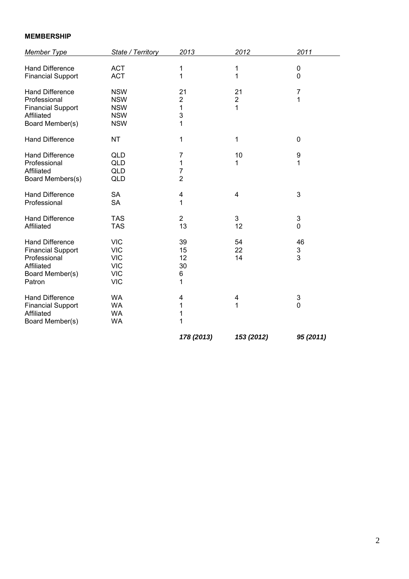# **MEMBERSHIP**

| <b>Member Type</b>                                                                                            | State / Territory                                                                | 2013                                | 2012                      | 2011             |
|---------------------------------------------------------------------------------------------------------------|----------------------------------------------------------------------------------|-------------------------------------|---------------------------|------------------|
| <b>Hand Difference</b><br><b>Financial Support</b>                                                            | <b>ACT</b><br><b>ACT</b>                                                         | 1<br>1                              | 1<br>1                    | 0<br>0           |
| <b>Hand Difference</b><br>Professional<br><b>Financial Support</b><br>Affiliated<br>Board Member(s)           | <b>NSW</b><br><b>NSW</b><br><b>NSW</b><br><b>NSW</b><br><b>NSW</b>               | 21<br>$\overline{2}$<br>1<br>3<br>1 | 21<br>$\overline{c}$<br>1 | 7<br>1           |
| <b>Hand Difference</b>                                                                                        | <b>NT</b>                                                                        | 1                                   | 1                         | $\mathbf 0$      |
| <b>Hand Difference</b><br>Professional<br>Affiliated<br>Board Members(s)                                      | <b>QLD</b><br><b>QLD</b><br><b>QLD</b><br><b>QLD</b>                             | 7<br>1<br>7<br>$\overline{2}$       | 10<br>1                   | 9<br>1           |
| <b>Hand Difference</b><br>Professional                                                                        | <b>SA</b><br><b>SA</b>                                                           | 4<br>1                              | 4                         | 3                |
| <b>Hand Difference</b><br>Affiliated                                                                          | <b>TAS</b><br><b>TAS</b>                                                         | $\overline{2}$<br>13                | 3<br>12                   | 3<br>$\mathbf 0$ |
| <b>Hand Difference</b><br><b>Financial Support</b><br>Professional<br>Affiliated<br>Board Member(s)<br>Patron | <b>VIC</b><br><b>VIC</b><br><b>VIC</b><br><b>VIC</b><br><b>VIC</b><br><b>VIC</b> | 39<br>15<br>12<br>30<br>6<br>1      | 54<br>22<br>14            | 46<br>3<br>3     |
| <b>Hand Difference</b><br><b>Financial Support</b><br>Affiliated<br>Board Member(s)                           | <b>WA</b><br><b>WA</b><br><b>WA</b><br><b>WA</b>                                 | 4<br>1<br>1<br>1                    | 4<br>1                    | 3<br>$\mathbf 0$ |
|                                                                                                               |                                                                                  | 178 (2013)                          | 153 (2012)                | 95 (2011)        |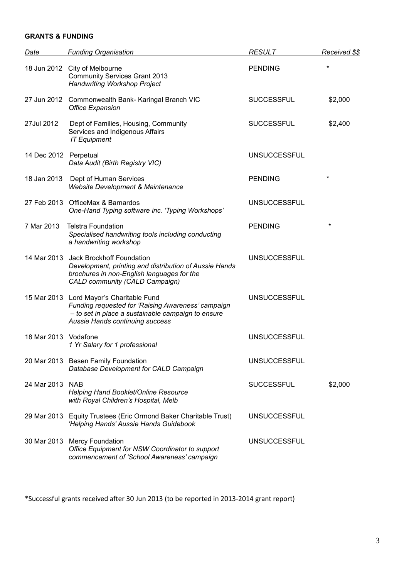# **GRANTS & FUNDING**

| Date                  | <b>Funding Organisation</b>                                                                                                                                                             | <b>RESULT</b>       | Received \$\$ |
|-----------------------|-----------------------------------------------------------------------------------------------------------------------------------------------------------------------------------------|---------------------|---------------|
|                       | 18 Jun 2012 City of Melbourne<br><b>Community Services Grant 2013</b><br><b>Handwriting Workshop Project</b>                                                                            | <b>PENDING</b>      | $\star$       |
|                       | 27 Jun 2012 Commonwealth Bank- Karingal Branch VIC<br><b>Office Expansion</b>                                                                                                           | <b>SUCCESSFUL</b>   | \$2,000       |
| 27Jul 2012            | Dept of Families, Housing, Community<br>Services and Indigenous Affairs<br><b>IT Equipment</b>                                                                                          | <b>SUCCESSFUL</b>   | \$2,400       |
| 14 Dec 2012 Perpetual | Data Audit (Birth Registry VIC)                                                                                                                                                         | <b>UNSUCCESSFUL</b> |               |
| 18 Jan 2013           | Dept of Human Services<br><b>Website Development &amp; Maintenance</b>                                                                                                                  | <b>PENDING</b>      | $\star$       |
|                       | 27 Feb 2013 OfficeMax & Barnardos<br>One-Hand Typing software inc. 'Typing Workshops'                                                                                                   | <b>UNSUCCESSFUL</b> |               |
| 7 Mar 2013            | <b>Telstra Foundation</b><br>Specialised handwriting tools including conducting<br>a handwriting workshop                                                                               | <b>PENDING</b>      | $\star$       |
| 14 Mar 2013           | Jack Brockhoff Foundation<br>Development, printing and distribution of Aussie Hands<br>brochures in non-English languages for the<br>CALD community (CALD Campaign)                     | <b>UNSUCCESSFUL</b> |               |
|                       | 15 Mar 2013 Lord Mayor's Charitable Fund<br>Funding requested for 'Raising Awareness' campaign<br>- to set in place a sustainable campaign to ensure<br>Aussie Hands continuing success | <b>UNSUCCESSFUL</b> |               |
| 18 Mar 2013 Vodafone  | 1 Yr Salary for 1 professional                                                                                                                                                          | <b>UNSUCCESSFUL</b> |               |
|                       | 20 Mar 2013 Besen Family Foundation<br>Database Development for CALD Campaign                                                                                                           | <b>UNSUCCESSFUL</b> |               |
| 24 Mar 2013 NAB       | <b>Helping Hand Booklet/Online Resource</b><br>with Royal Children's Hospital, Melb                                                                                                     | <b>SUCCESSFUL</b>   | \$2,000       |
|                       | 29 Mar 2013 Equity Trustees (Eric Ormond Baker Charitable Trust)<br>'Helping Hands' Aussie Hands Guidebook                                                                              | <b>UNSUCCESSFUL</b> |               |
|                       | 30 Mar 2013 Mercy Foundation<br>Office Equipment for NSW Coordinator to support<br>commencement of 'School Awareness' campaign                                                          | <b>UNSUCCESSFUL</b> |               |

\*Successful grants received after 30 Jun 2013 (to be reported in 2013-2014 grant report)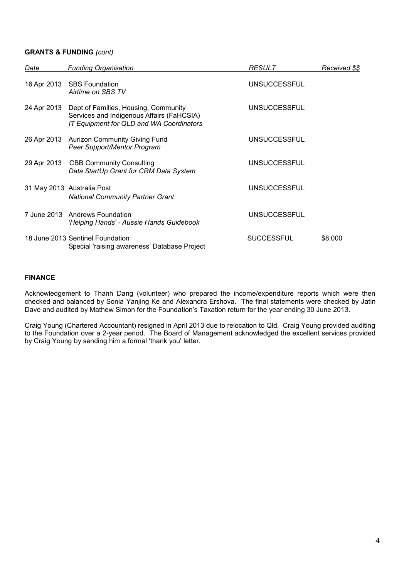# **GRANTS & FUNDING** *(cont)*

| Date        | <b>Funding Organisation</b>                                                                                                   | <b>RESULT</b>       | Received \$\$ |
|-------------|-------------------------------------------------------------------------------------------------------------------------------|---------------------|---------------|
|             | 16 Apr 2013 SBS Foundation<br>Airtime on SBS TV                                                                               | <b>UNSUCCESSFUL</b> |               |
| 24 Apr 2013 | Dept of Families, Housing, Community<br>Services and Indigenous Affairs (FaHCSIA)<br>IT Equipment for QLD and WA Coordinators | <b>UNSUCCESSFUL</b> |               |
|             | 26 Apr 2013 Aurizon Community Giving Fund<br>Peer Support/Mentor Program                                                      | <b>UNSUCCESSFUL</b> |               |
|             | 29 Apr 2013 CBB Community Consulting<br>Data StartUp Grant for CRM Data System                                                | <b>UNSUCCESSFUL</b> |               |
|             | 31 May 2013 Australia Post<br><b>National Community Partner Grant</b>                                                         | <b>UNSUCCESSFUL</b> |               |
|             | 7 June 2013 Andrews Foundation<br>'Helping Hands' - Aussie Hands Guidebook                                                    | <b>UNSUCCESSFUL</b> |               |
|             | 18 June 2013 Sentinel Foundation<br>Special 'raising awareness' Database Project                                              | <b>SUCCESSFUL</b>   | \$8,000       |

# **FINANCE**

Acknowledgement to Thanh Dang (volunteer) who prepared the income/expenditure reports which were then checked and balanced by Sonia Yanjing Ke and Alexandra Ershova. The final statements were checked by Jatin Dave and audited by Mathew Simon for the Foundation's Taxation return for the year ending 30 June 2013.

Craig Young (Chartered Accountant) resigned in April 2013 due to relocation to Qld. Craig Young provided auditing to the Foundation over a 2-year period. The Board of Management acknowledged the excellent services provided by Craig Young by sending him a formal 'thank you' letter.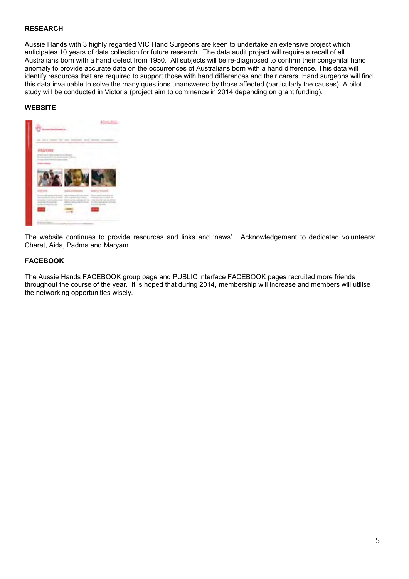# **RESEARCH**

Aussie Hands with 3 highly regarded VIC Hand Surgeons are keen to undertake an extensive project which anticipates 10 years of data collection for future research. The data audit project will require a recall of all Australians born with a hand defect from 1950. All subjects will be re-diagnosed to confirm their congenital hand anomaly to provide accurate data on the occurrences of Australians born with a hand difference. This data will identify resources that are required to support those with hand differences and their carers. Hand surgeons will find this data invaluable to solve the many questions unanswered by those affected (particularly the causes). A pilot study will be conducted in Victoria (project aim to commence in 2014 depending on grant funding).

## **WEBSITE**



The website continues to provide resources and links and 'news'. Acknowledgement to dedicated volunteers: Charet, Aida, Padma and Maryam.

# **FACEBOOK**

The Aussie Hands FACEBOOK group page and PUBLIC interface FACEBOOK pages recruited more friends throughout the course of the year. It is hoped that during 2014, membership will increase and members will utilise the networking opportunities wisely.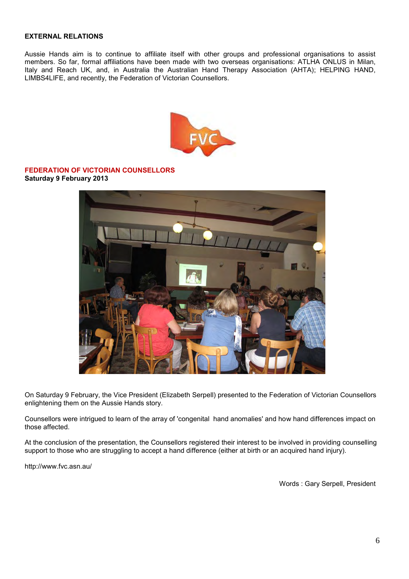# **EXTERNAL RELATIONS**

Aussie Hands aim is to continue to affiliate itself with other groups and professional organisations to assist members. So far, formal affiliations have been made with two overseas organisations: ATLHA ONLUS in Milan, Italy and Reach UK, and, in Australia the Australian Hand Therapy Association (AHTA); HELPING HAND, LIMBS4LIFE, and recently, the Federation of Victorian Counsellors.



**FEDERATION OF VICTORIAN COUNSELLORS Saturday 9 February 2013**



On Saturday 9 February, the Vice President (Elizabeth Serpell) presented to the Federation of Victorian Counsellors enlightening them on the Aussie Hands story.

Counsellors were intrigued to learn of the array of 'congenital hand anomalies' and how hand differences impact on those affected.

At the conclusion of the presentation, the Counsellors registered their interest to be involved in providing counselling support to those who are struggling to accept a hand difference (either at birth or an acquired hand injury).

<http://www.fvc.asn.au/>

Words : Gary Serpell, President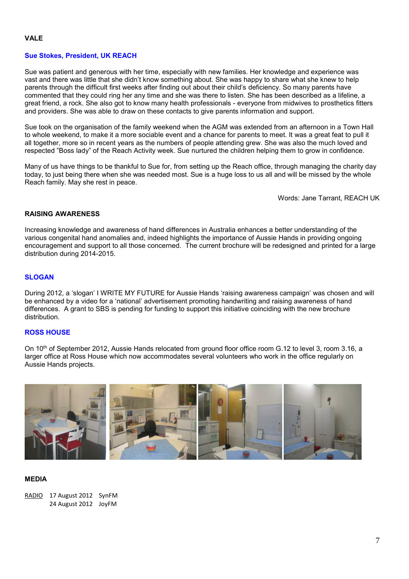#### **Sue Stokes, President, UK REACH**

Sue was patient and generous with her time, especially with new families. Her knowledge and experience was vast and there was little that she didn't know something about. She was happy to share what she knew to help parents through the difficult first weeks after finding out about their child's deficiency. So many parents have commented that they could ring her any time and she was there to listen. She has been described as a lifeline, a great friend, a rock. She also got to know many health professionals - everyone from midwives to prosthetics fitters and providers. She was able to draw on these contacts to give parents information and support.

Sue took on the organisation of the family weekend when the AGM was extended from an afternoon in a Town Hall to whole weekend, to make it a more sociable event and a chance for parents to meet. It was a great feat to pull it all together, more so in recent years as the numbers of people attending grew. She was also the much loved and respected "Boss lady" of the Reach Activity week. Sue nurtured the children helping them to grow in confidence.

Many of us have things to be thankful to Sue for, from setting up the Reach office, through managing the charity day today, to just being there when she was needed most. Sue is a huge loss to us all and will be missed by the whole Reach family. May she rest in peace.

Words: Jane Tarrant, REACH UK

# **RAISING AWARENESS**

Increasing knowledge and awareness of hand differences in Australia enhances a better understanding of the various congenital hand anomalies and, indeed highlights the importance of Aussie Hands in providing ongoing encouragement and support to all those concerned. The current brochure will be redesigned and printed for a large distribution during 2014-2015.

#### **SLOGAN**

During 2012, a 'slogan' I WRITE MY FUTURE for Aussie Hands 'raising awareness campaign' was chosen and will be enhanced by a video for a 'national' advertisement promoting handwriting and raising awareness of hand differences. A grant to SBS is pending for funding to support this initiative coinciding with the new brochure distribution.

#### **ROSS HOUSE**

On 10<sup>th</sup> of September 2012, Aussie Hands relocated from ground floor office room G.12 to level 3, room 3.16, a larger office at Ross House which now accommodates several volunteers who work in the office regularly on Aussie Hands projects.



#### **MEDIA**

RADIO 17 August 2012 SynFM 24 August 2012 JoyFM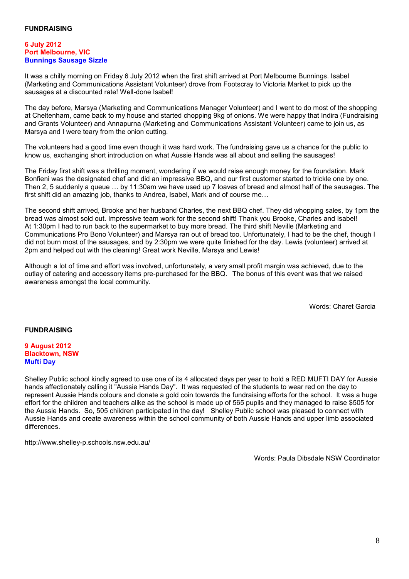#### **6 July 2012 Port Melbourne, VIC Bunnings Sausage Sizzle**

It was a chilly morning on Friday 6 July 2012 when the first shift arrived at Port Melbourne Bunnings. Isabel (Marketing and Communications Assistant Volunteer) drove from Footscray to Victoria Market to pick up the sausages at a discounted rate! Well-done Isabel!

The day before, Marsya (Marketing and Communications Manager Volunteer) and I went to do most of the shopping at Cheltenham, came back to my house and started chopping 9kg of onions. We were happy that Indira (Fundraising and Grants Volunteer) and Annapurna (Marketing and Communications Assistant Volunteer) came to join us, as Marsya and I were teary from the onion cutting.

The volunteers had a good time even though it was hard work. The fundraising gave us a chance for the public to know us, exchanging short introduction on what Aussie Hands was all about and selling the sausages!

The Friday first shift was a thrilling moment, wondering if we would raise enough money for the foundation. Mark Bonfieni was the designated chef and did an impressive BBQ, and our first customer started to trickle one by one. Then 2, 5 suddenly a queue … by 11:30am we have used up 7 loaves of bread and almost half of the sausages. The first shift did an amazing job, thanks to Andrea, Isabel, Mark and of course me...

The second shift arrived, Brooke and her husband Charles, the next BBQ chef. They did whopping sales, by 1pm the bread was almost sold out. Impressive team work for the second shift! Thank you Brooke, Charles and Isabel! At 1:30pm I had to run back to the supermarket to buy more bread. The third shift Neville (Marketing and Communications Pro Bono Volunteer) and Marsya ran out of bread too. Unfortunately, I had to be the chef, though I did not burn most of the sausages, and by 2:30pm we were quite finished for the day. Lewis (volunteer) arrived at 2pm and helped out with the cleaning! Great work Neville, Marsya and Lewis!

Although a lot of time and effort was involved, unfortunately, a very small profit margin was achieved, due to the outlay of catering and accessory items pre-purchased for the BBQ. The bonus of this event was that we raised awareness amongst the local community.

Words: Charet Garcia

# **FUNDRAISING**

#### **9 August 2012 Blacktown, NSW Mufti Day**

Shelley Public school kindly agreed to use one of its 4 allocated days per year to hold a RED MUFTI DAY for Aussie hands affectionately calling it "Aussie Hands Day". It was requested of the students to wear red on the day to represent Aussie Hands colours and donate a gold coin towards the fundraising efforts for the school. It was a huge effort for the children and teachers alike as the school is made up of 565 pupils and they managed to raise \$505 for the Aussie Hands. So, 505 children participated in the day! Shelley Public school was pleased to connect with Aussie Hands and create awareness within the school community of both Aussie Hands and upper limb associated differences.

<http://www.shelley-p.schools.nsw.edu.au/>

Words: Paula Dibsdale NSW Coordinator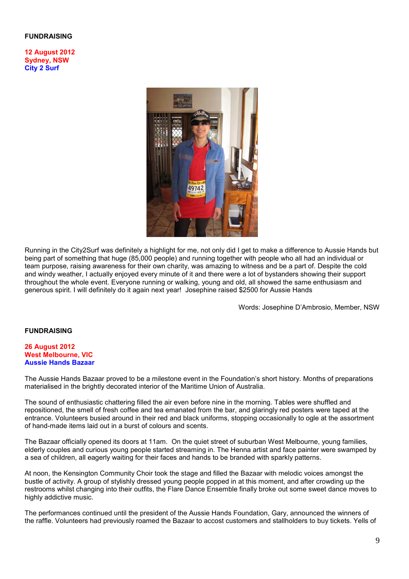## **FUNDRAISING**

**12 August 2012 Sydney, NSW City 2 Surf** 



Running in the City2Surf was definitely a highlight for me, not only did I get to make a difference to Aussie Hands but being part of something that huge (85,000 people) and running together with people who all had an individual or team purpose, raising awareness for their own charity, was amazing to witness and be a part of. Despite the cold and windy weather, I actually enjoyed every minute of it and there were a lot of bystanders showing their support throughout the whole event. Everyone running or walking, young and old, all showed the same enthusiasm and generous spirit. I will definitely do it again next year! Josephine raised \$2500 for Aussie Hands

Words: Josephine D'Ambrosio, Member, NSW

#### **FUNDRAISING**

#### **26 August 2012 West Melbourne, VIC Aussie Hands Bazaar**

The Aussie Hands Bazaar proved to be a milestone event in the Foundation's short history. Months of preparations materialised in the brightly decorated interior of the Maritime Union of Australia.

The sound of enthusiastic chattering filled the air even before nine in the morning. Tables were shuffled and repositioned, the smell of fresh coffee and tea emanated from the bar, and glaringly red posters were taped at the entrance. Volunteers busied around in their red and black uniforms, stopping occasionally to ogle at the assortment of hand-made items laid out in a burst of colours and scents.

The Bazaar officially opened its doors at 11am. On the quiet street of suburban West Melbourne, young families, elderly couples and curious young people started streaming in. The Henna artist and face painter were swamped by a sea of children, all eagerly waiting for their faces and hands to be branded with sparkly patterns.

At noon, the Kensington Community Choir took the stage and filled the Bazaar with melodic voices amongst the bustle of activity. A group of stylishly dressed young people popped in at this moment, and after crowding up the restrooms whilst changing into their outfits, the Flare Dance Ensemble finally broke out some sweet dance moves to highly addictive music.

The performances continued until the president of the Aussie Hands Foundation, Gary, announced the winners of the raffle. Volunteers had previously roamed the Bazaar to accost customers and stallholders to buy tickets. Yells of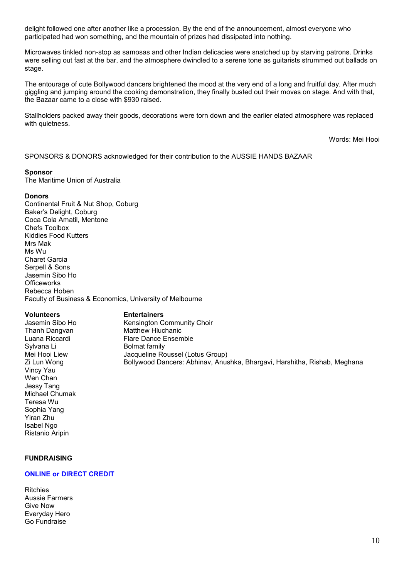delight followed one after another like a procession. By the end of the announcement, almost everyone who participated had won something, and the mountain of prizes had dissipated into nothing.

Microwaves tinkled non-stop as samosas and other Indian delicacies were snatched up by starving patrons. Drinks were selling out fast at the bar, and the atmosphere dwindled to a serene tone as guitarists strummed out ballads on stage.

The entourage of cute Bollywood dancers brightened the mood at the very end of a long and fruitful day. After much giggling and jumping around the cooking demonstration, they finally busted out their moves on stage. And with that, the Bazaar came to a close with \$930 raised.

Stallholders packed away their goods, decorations were torn down and the earlier elated atmosphere was replaced with quietness.

Words: Mei Hooi

SPONSORS & DONORS acknowledged for their contribution to the AUSSIE HANDS BAZAAR

#### **Sponsor**

The Maritime Union of Australia

#### **Donors**

Continental Fruit & Nut Shop, Coburg Baker's Delight, Coburg Coca Cola Amatil, Mentone Chefs Toolbox Kiddies Food Kutters Mrs Mak Ms Wu Charet Garcia Serpell & Sons Jasemin Sibo Ho **Officeworks** Rebecca Hoben Faculty of Business & Economics, University of Melbourne

#### **Volunteers Entertainers**

Sylvana Li Bolmat family Vincy Yau Wen Chan Jessy Tang Michael Chumak Teresa Wu Sophia Yang Yiran Zhu Isabel Ngo Ristanio Aripin

Jasemin Sibo Ho Kensington Community Choir Thanh Dangvan Matthew Hluchanic Luana Riccardi Flare Dance Ensemble Mei Hooi Liew Jacqueline Roussel (Lotus Group) Zi Lun Wong Bollywood Dancers: Abhinav, Anushka, Bhargavi, Harshitha, Rishab, Meghana

#### **FUNDRAISING**

## **ONLINE or DIRECT CREDIT**

**Ritchies** Aussie Farmers Give Now Everyday Hero Go Fundraise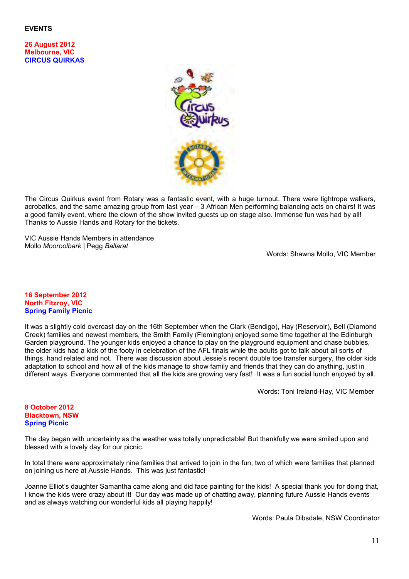# **EVENTS**

**26 August 2012 Melbourne, VIC CIRCUS QUIRKAS** 



The Circus Quirkus event from Rotary was a fantastic event, with a huge turnout. There were tightrope walkers, acrobatics, and the same amazing group from last year – 3 African Men performing balancing acts on chairs! It was a good family event, where the clown of the show invited guests up on stage also. Immense fun was had by all! Thanks to Aussie Hands and Rotary for the tickets.

VIC Aussie Hands Members in attendance Mollo *Mooroolbark* | Pegg *Ballarat*

Words: Shawna Mollo, VIC Member

#### **16 September 2012 North Fitzroy, VIC Spring Family Picnic**

It was a slightly cold overcast day on the 16th September when the Clark (Bendigo), Hay (Reservoir), Bell (Diamond Creek) families and newest members, the Smith Family (Flemington) enjoyed some time together at the Edinburgh Garden playground. The younger kids enjoyed a chance to play on the playground equipment and chase bubbles, the older kids had a kick of the footy in celebration of the AFL finals while the adults got to talk about all sorts of things, hand related and not. There was discussion about Jessie's recent double toe transfer surgery, the older kids adaptation to school and how all of the kids manage to show family and friends that they can do anything, just in different ways. Everyone commented that all the kids are growing very fast! It was a fun social lunch enjoyed by all.

Words: Toni Ireland-Hay, VIC Member

#### **8 October 2012 Blacktown, NSW Spring Picnic**

The day began with uncertainty as the weather was totally unpredictable! But thankfully we were smiled upon and blessed with a lovely day for our picnic.

In total there were approximately nine families that arrived to join in the fun, two of which were families that planned on joining us here at Aussie Hands. This was just fantastic!

Joanne Elliot's daughter Samantha came along and did face painting for the kids! A special thank you for doing that, I know the kids were crazy about it! Our day was made up of chatting away, planning future Aussie Hands events and as always watching our wonderful kids all playing happily!

Words: Paula Dibsdale, NSW Coordinator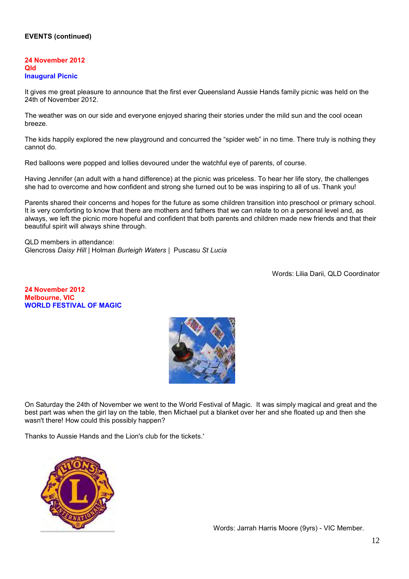# **EVENTS (continued)**

#### **24 November 2012 Qld Inaugural Picnic**

It gives me great pleasure to announce that the first ever Queensland Aussie Hands family picnic was held on the 24th of November 2012.

The weather was on our side and everyone enjoyed sharing their stories under the mild sun and the cool ocean breeze.

The kids happily explored the new playground and concurred the "spider web" in no time. There truly is nothing they cannot do.

Red balloons were popped and lollies devoured under the watchful eye of parents, of course.

Having Jennifer (an adult with a hand difference) at the picnic was priceless. To hear her life story, the challenges she had to overcome and how confident and strong she turned out to be was inspiring to all of us. Thank you!

Parents shared their concerns and hopes for the future as some children transition into preschool or primary school. It is very comforting to know that there are mothers and fathers that we can relate to on a personal level and, as always, we left the picnic more hopeful and confident that both parents and children made new friends and that their beautiful spirit will always shine through.

QLD members in attendance: Glencross *Daisy Hill* | Holman *Burleigh Waters* | Puscasu *St Lucia*

Words: Lilia Darii, QLD Coordinator

**24 November 2012 Melbourne, VIC WORLD FESTIVAL OF MAGIC** 



On Saturday the 24th of November we went to the World Festival of Magic. It was simply magical and great and the best part was when the girl lay on the table, then Michael put a blanket over her and she floated up and then she wasn't there! How could this possibly happen?

Thanks to Aussie Hands and the Lion's club for the tickets.'



Words: Jarrah Harris Moore (9yrs) - VIC Member.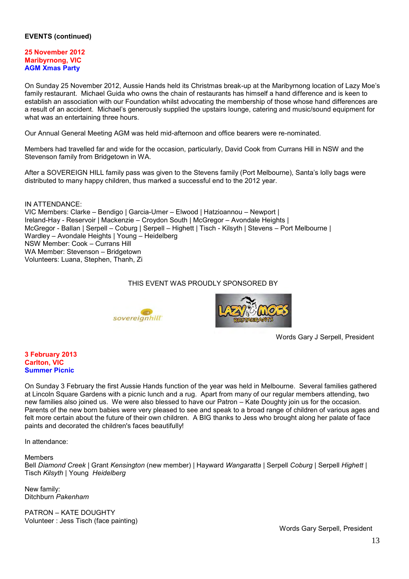# **EVENTS (continued)**

## **25 November 2012 Maribyrnong, VIC AGM Xmas Party**

On Sunday 25 November 2012, Aussie Hands held its Christmas break-up at the Maribyrnong location of Lazy Moe's family restaurant. Michael Guida who owns the chain of restaurants has himself a hand difference and is keen to establish an association with our Foundation whilst advocating the membership of those whose hand differences are a result of an accident. Michael's generously supplied the upstairs lounge, catering and music/sound equipment for what was an entertaining three hours.

Our Annual General Meeting AGM was held mid-afternoon and office bearers were re-nominated.

Members had travelled far and wide for the occasion, particularly, David Cook from Currans Hill in NSW and the Stevenson family from Bridgetown in WA.

After a SOVEREIGN HILL family pass was given to the Stevens family (Port Melbourne), Santa's lolly bags were distributed to many happy children, thus marked a successful end to the 2012 year.

IN ATTENDANCE: VIC Members: Clarke – Bendigo | Garcia-Umer – Elwood | Hatzioannou – Newport | Ireland-Hay - Reservoir | Mackenzie – Croydon South | McGregor – Avondale Heights | McGregor - Ballan | Serpell – Coburg | Serpell – Highett | Tisch - Kilsyth | Stevens – Port Melbourne | Wardley – Avondale Heights | Young – Heidelberg NSW Member: Cook – Currans Hill WA Member: Stevenson – Bridgetown Volunteers: Luana, Stephen, Thanh, Zi

# THIS EVENT WAS PROUDLY SPONSORED BY





Words Gary J Serpell, President

#### **3 February 2013 Carlton, VIC Summer Picnic**

On Sunday 3 February the first Aussie Hands function of the year was held in Melbourne. Several families gathered at Lincoln Square Gardens with a picnic lunch and a rug. Apart from many of our regular members attending, two new families also joined us. We were also blessed to have our Patron – Kate Doughty join us for the occasion. Parents of the new born babies were very pleased to see and speak to a broad range of children of various ages and felt more certain about the future of their own children. A BIG thanks to Jess who brought along her palate of face paints and decorated the children's faces beautifully!

In attendance:

#### Members

Bell *Diamond Creek* | Grant *Kensington* (new member) | Hayward *Wangaratta* | Serpell *Coburg* | Serpell *Highett* | Tisch *Kilsyth* | Young *Heidelberg*

New family: Ditchburn *Pakenham* 

PATRON – KATE DOUGHTY Volunteer : Jess Tisch (face painting)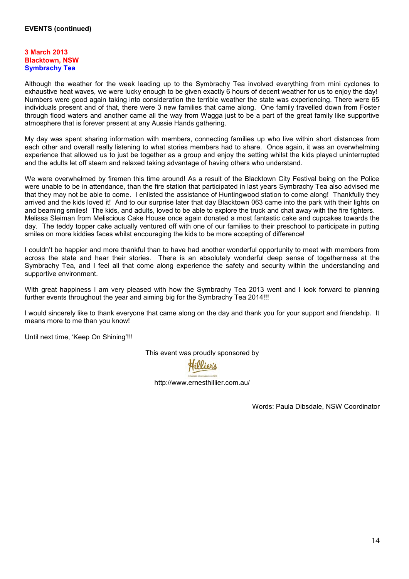#### **3 March 2013 Blacktown, NSW Symbrachy Tea**

Although the weather for the week leading up to the Symbrachy Tea involved everything from mini cyclones to exhaustive heat waves, we were lucky enough to be given exactly 6 hours of decent weather for us to enjoy the day! Numbers were good again taking into consideration the terrible weather the state was experiencing. There were 65 individuals present and of that, there were 3 new families that came along. One family travelled down from Foster through flood waters and another came all the way from Wagga just to be a part of the great family like supportive atmosphere that is forever present at any Aussie Hands gathering.

My day was spent sharing information with members, connecting families up who live within short distances from each other and overall really listening to what stories members had to share. Once again, it was an overwhelming experience that allowed us to just be together as a group and enjoy the setting whilst the kids played uninterrupted and the adults let off steam and relaxed taking advantage of having others who understand.

We were overwhelmed by firemen this time around! As a result of the Blacktown City Festival being on the Police were unable to be in attendance, than the fire station that participated in last years Symbrachy Tea also advised me that they may not be able to come. I enlisted the assistance of Huntingwood station to come along! Thankfully they arrived and the kids loved it! And to our surprise later that day Blacktown 063 came into the park with their lights on and beaming smiles! The kids, and adults, loved to be able to explore the truck and chat away with the fire fighters. Melissa Sleiman from Meliscious Cake House once again donated a most fantastic cake and cupcakes towards the day. The teddy topper cake actually ventured off with one of our families to their preschool to participate in putting smiles on more kiddies faces whilst encouraging the kids to be more accepting of difference!

I couldn't be happier and more thankful than to have had another wonderful opportunity to meet with members from across the state and hear their stories. There is an absolutely wonderful deep sense of togetherness at the Symbrachy Tea, and I feel all that come along experience the safety and security within the understanding and supportive environment.

With great happiness I am very pleased with how the Symbrachy Tea 2013 went and I look forward to planning further events throughout the year and aiming big for the Symbrachy Tea 2014!!!

I would sincerely like to thank everyone that came along on the day and thank you for your support and friendship. It means more to me than you know!

Until next time, 'Keep On Shining'!!!

This event was proudly sponsored by

Hillier's

<http://www.ernesthillier.com.au/>

Words: Paula Dibsdale, NSW Coordinator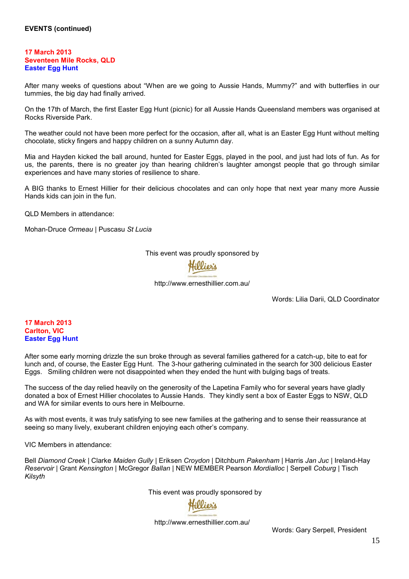## **17 March 2013 Seventeen Mile Rocks, QLD Easter Egg Hunt**

After many weeks of questions about "When are we going to Aussie Hands, Mummy?" and with butterflies in our tummies, the big day had finally arrived.

On the 17th of March, the first Easter Egg Hunt (picnic) for all Aussie Hands Queensland members was organised at Rocks Riverside Park.

The weather could not have been more perfect for the occasion, after all, what is an Easter Egg Hunt without melting chocolate, sticky fingers and happy children on a sunny Autumn day.

Mia and Hayden kicked the ball around, hunted for Easter Eggs, played in the pool, and just had lots of fun. As for us, the parents, there is no greater joy than hearing children's laughter amongst people that go through similar experiences and have many stories of resilience to share.

A BIG thanks to Ernest Hillier for their delicious chocolates and can only hope that next year many more Aussie Hands kids can join in the fun.

QLD Members in attendance:

Mohan-Druce *Ormeau* | Puscasu *St Lucia*

This event [was proudly sp](http://www.google.com.au/url?sa=i&rct=j&q=&esrc=s&frm=1&source=images&cd=&cad=rja&docid=kHstPL075ark1M&tbnid=vVMUTux5eYQ94M:&ved=0CAUQjRw&url=http://www.nbaa.com.au/award-nominees-date/1/2012-03-01&ei=DdWQUaulKYPDlAXiiID4Bg&bvm=bv.46340616,d.aGc&psig=AFQjCNG1tQdyNb5ej90KuT28cBPqZvN_kw&ust=1368532574397370)onsored by

<http://www.ernesthillier.com.au/>

Words: Lilia Darii, QLD Coordinator

**17 March 2013 Carlton, VIC Easter Egg Hunt** 

After some early morning drizzle the sun broke through as several families gathered for a catch-up, bite to eat for lunch and, of course, the Easter Egg Hunt. The 3-hour gathering culminated in the search for 300 delicious Easter Eggs. Smiling children were not disappointed when they ended the hunt with bulging bags of treats.

The success of the day relied heavily on the generosity of the Lapetina Family who for several years have gladly donated a box of Ernest Hillier chocolates to Aussie Hands. They kindly sent a box of Easter Eggs to NSW, QLD and WA for similar events to ours here in Melbourne.

As with most events, it was truly satisfying to see new families at the gathering and to sense their reassurance at seeing so many lively, exuberant children enjoying each other's company.

VIC Members in attendance:

Bell *Diamond Creek* | Clarke *Maiden Gully* | Eriksen *Croydon* | Ditchburn *Pakenham* | Harris *Jan Juc* | Ireland-Hay *Reservoir* | Grant *Kensington* | McGregor *Ballan* | NEW MEMBER Pearson *Mordialloc* | Serpell *Coburg* | Tisch *Kilsyth*

This event [was proudly s](http://www.google.com.au/url?sa=i&rct=j&q=&esrc=s&frm=1&source=images&cd=&cad=rja&docid=kHstPL075ark1M&tbnid=vVMUTux5eYQ94M:&ved=0CAUQjRw&url=http://www.nbaa.com.au/award-nominees-date/1/2012-03-01&ei=DdWQUaulKYPDlAXiiID4Bg&bvm=bv.46340616,d.aGc&psig=AFQjCNG1tQdyNb5ej90KuT28cBPqZvN_kw&ust=1368532574397370)ponsored by

<http://www.ernesthillier.com.au/>

Words: Gary Serpell, President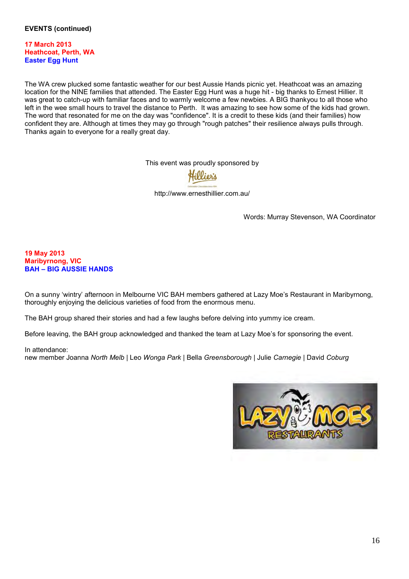**17 March 2013 Heathcoat, Perth, WA Easter Egg Hunt** 

The WA crew plucked some fantastic weather for our best Aussie Hands picnic yet. Heathcoat was an amazing location for the NINE families that attended. The Easter Egg Hunt was a huge hit - big thanks to Ernest Hillier. It was great to catch-up with familiar faces and to warmly welcome a few newbies. A BIG thankyou to all those who left in the wee small hours to travel the distance to Perth. It was amazing to see how some of the kids had grown. The word that resonated for me on the day was "confidence". It is a credit to these kids (and their families) how confident they are. Although at times they may go through "rough patches" their resilience always pulls through. Thanks again to everyone for a really great day.

This event [was proudly sp](http://www.google.com.au/url?sa=i&rct=j&q=&esrc=s&frm=1&source=images&cd=&cad=rja&docid=kHstPL075ark1M&tbnid=vVMUTux5eYQ94M:&ved=0CAUQjRw&url=http://www.nbaa.com.au/award-nominees-date/1/2012-03-01&ei=DdWQUaulKYPDlAXiiID4Bg&bvm=bv.46340616,d.aGc&psig=AFQjCNG1tQdyNb5ej90KuT28cBPqZvN_kw&ust=1368532574397370)onsored by

<http://www.ernesthillier.com.au/>

Words: Murray Stevenson, WA Coordinator

## **19 May 2013 Maribyrnong, VIC BAH – BIG AUSSIE HANDS**

On a sunny 'wintry' afternoon in Melbourne VIC BAH members gathered at Lazy Moe's Restaurant in Maribyrnong, thoroughly enjoying the delicious varieties of food from the enormous menu.

The BAH group shared their stories and had a few laughs before delving into yummy ice cream.

Before leaving, the BAH group acknowledged and thanked the team at Lazy Moe's for sponsoring the event.

#### In attendance:

new member Joanna *North Melb* | Leo *Wonga Park* | Bella *Greensborough* | Julie *Carnegie* | David *Coburg*

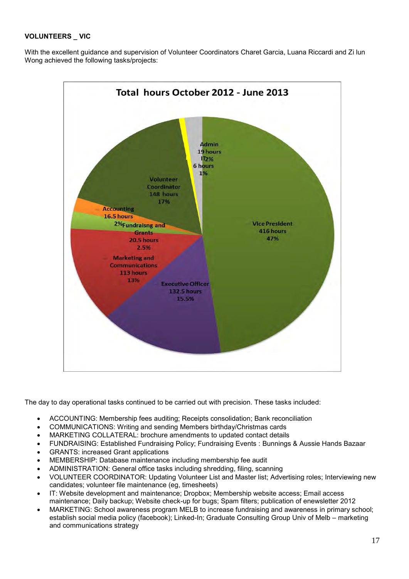# **VOLUNTEERS \_ VIC**

With the excellent guidance and supervision of Volunteer Coordinators Charet Garcia, Luana Riccardi and Zi lun Wong achieved the following tasks/projects:



The day to day operational tasks continued to be carried out with precision. These tasks included:

- ACCOUNTING: Membership fees auditing; Receipts consolidation; Bank reconciliation
- COMMUNICATIONS: Writing and sending Members birthday/Christmas cards
- MARKETING COLLATERAL: brochure amendments to updated contact details
- FUNDRAISING: Established Fundraising Policy; Fundraising Events : Bunnings & Aussie Hands Bazaar
- GRANTS: increased Grant applications
- MEMBERSHIP: Database maintenance including membership fee audit
- ADMINISTRATION: General office tasks including shredding, filing, scanning
- VOLUNTEER COORDINATOR: Updating Volunteer List and Master list; Advertising roles; Interviewing new candidates; volunteer file maintenance (eg, timesheets)
- IT: Website development and maintenance; Dropbox; Membership website access; Email access maintenance; Daily backup; Website check-up for bugs; Spam filters; publication of enewsletter 2012
- MARKETING: School awareness program MELB to increase fundraising and awareness in primary school; establish social media policy (facebook); Linked-In; Graduate Consulting Group Univ of Melb – marketing and communications strategy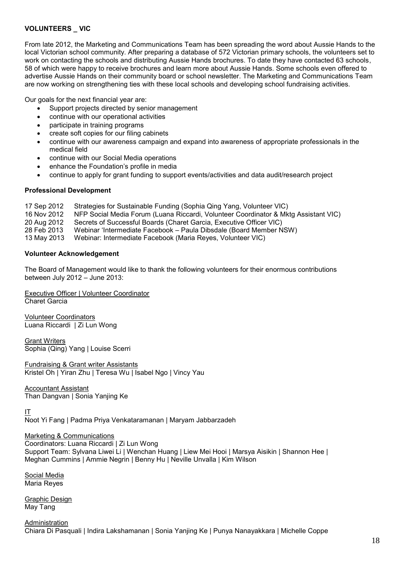# **VOLUNTEERS \_ VIC**

From late 2012, the Marketing and Communications Team has been spreading the word about Aussie Hands to the local Victorian school community. After preparing a database of 572 Victorian primary schools, the volunteers set to work on contacting the schools and distributing Aussie Hands brochures. To date they have contacted 63 schools, 58 of which were happy to receive brochures and learn more about Aussie Hands. Some schools even offered to advertise Aussie Hands on their community board or school newsletter. The Marketing and Communications Team are now working on strengthening ties with these local schools and developing school fundraising activities.

Our goals for the next financial year are:

- Support projects directed by senior management
- continue with our operational activities
- participate in training programs
- create soft copies for our filing cabinets
- continue with our awareness campaign and expand into awareness of appropriate professionals in the medical field
- continue with our Social Media operations
- enhance the Foundation's profile in media
- continue to apply for grant funding to support events/activities and data audit/research project

## **Professional Development**

- 
- 17 Sep 2012 Strategies for Sustainable Funding (Sophia Qing Yang, Volunteer VIC) NFP Social Media Forum (Luana Riccardi, Volunteer Coordinator & Mktg Assistant VIC)
- 20 Aug 2012 Secrets of Successful Boards (Charet Garcia, Executive Officer VIC)
- 28 Feb 2013 Webinar 'Intermediate Facebook Paula Dibsdale (Board Member NSW)
- Webinar: Intermediate Facebook (Maria Reyes, Volunteer VIC)

## **Volunteer Acknowledgement**

The Board of Management would like to thank the following volunteers for their enormous contributions between July 2012 – June 2013:

Executive Officer | Volunteer Coordinator Charet Garcia

Volunteer Coordinators Luana Riccardi | Zi Lun Wong

**Grant Writers** Sophia (Qing) Yang | Louise Scerri

Fundraising & Grant writer Assistants Kristel Oh | Yiran Zhu | Teresa Wu | Isabel Ngo | Vincy Yau

Accountant Assistant Than Dangvan | Sonia Yanjing Ke

 $\overline{\mathsf{I}}$ 

Noot Yi Fang | Padma Priya Venkataramanan | Maryam Jabbarzadeh

Marketing & Communications Coordinators: Luana Riccardi | Zi Lun Wong Support Team: Sylvana Liwei Li | Wenchan Huang | Liew Mei Hooi | Marsya Aisikin | Shannon Hee | Meghan Cummins | Ammie Negrin | Benny Hu | Neville Unvalla | Kim Wilson

Social Media Maria Reyes

Graphic Design May Tang

Administration Chiara Di Pasquali | Indira Lakshamanan | Sonia Yanjing Ke | Punya Nanayakkara | Michelle Coppe